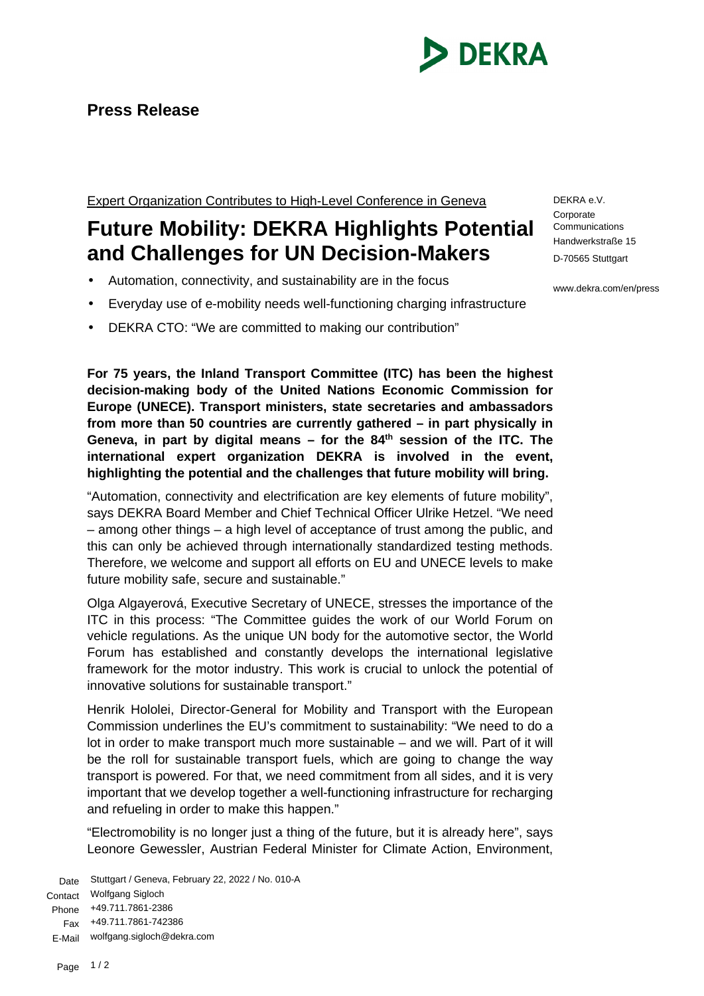

## **Press Release**

Expert Organization Contributes to High-Level Conference in Geneva

## **Future Mobility: DEKRA Highlights Potential and Challenges for UN Decision-Makers**

- Automation, connectivity, and sustainability are in the focus
- Everyday use of e-mobility needs well-functioning charging infrastructure
- DEKRA CTO: "We are committed to making our contribution"

**For 75 years, the Inland Transport Committee (ITC) has been the highest decision-making body of the United Nations Economic Commission for Europe (UNECE). Transport ministers, state secretaries and ambassadors from more than 50 countries are currently gathered – in part physically in Geneva, in part by digital means – for the 84th session of the ITC. The international expert organization DEKRA is involved in the event, highlighting the potential and the challenges that future mobility will bring.**

"Automation, connectivity and electrification are key elements of future mobility", says DEKRA Board Member and Chief Technical Officer Ulrike Hetzel. "We need – among other things – a high level of acceptance of trust among the public, and this can only be achieved through internationally standardized testing methods. Therefore, we welcome and support all efforts on EU and UNECE levels to make future mobility safe, secure and sustainable."

Olga Algayerová, Executive Secretary of UNECE, stresses the importance of the ITC in this process: "The Committee guides the work of our World Forum on vehicle regulations. As the unique UN body for the automotive sector, the World Forum has established and constantly develops the international legislative framework for the motor industry. This work is crucial to unlock the potential of innovative solutions for sustainable transport."

Henrik Hololei, Director-General for Mobility and Transport with the European Commission underlines the EU's commitment to sustainability: "We need to do a lot in order to make transport much more sustainable – and we will. Part of it will be the roll for sustainable transport fuels, which are going to change the way transport is powered. For that, we need commitment from all sides, and it is very important that we develop together a well-functioning infrastructure for recharging and refueling in order to make this happen."

"Electromobility is no longer just a thing of the future, but it is already here", says Leonore Gewessler, Austrian Federal Minister for Climate Action, Environment,

Date Stuttgart / Geneva, February 22, 2022 / No. 010-A Contact Wolfgang Sigloch Phone Fax +49.711.7861-742386 E-Mail wolfgang.sigloch@dekra.com +49.711.7861-2386

DEKRA e.V. **Corporate** Communications Handwerkstraße 15 D-70565 Stuttgart

www.dekra.com/en/press